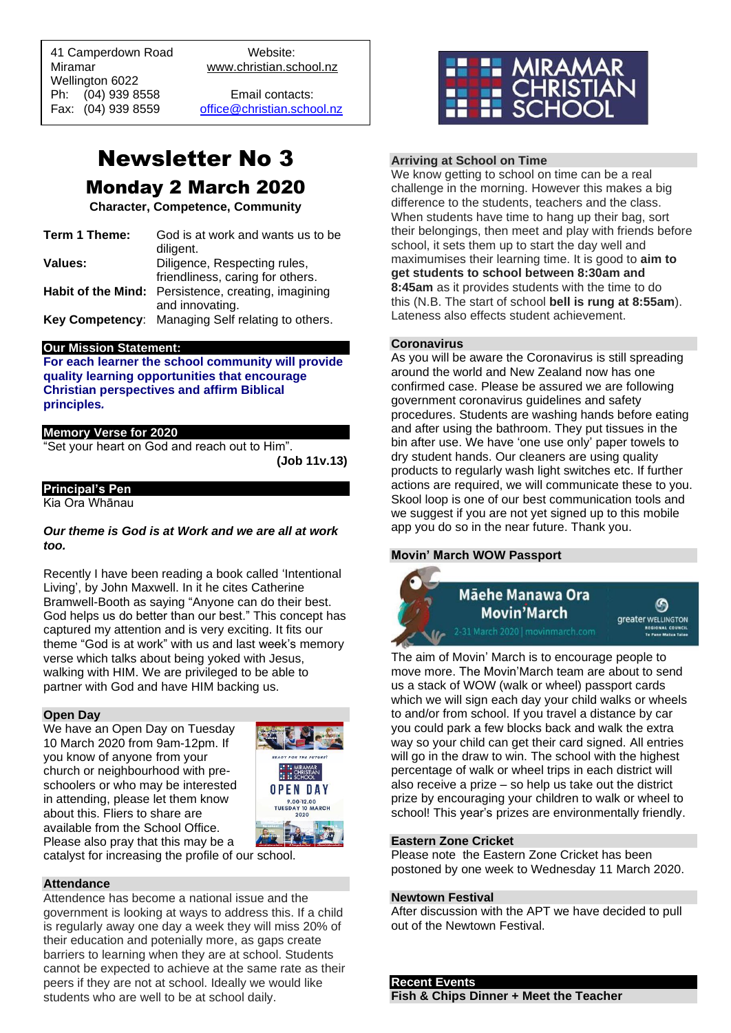41 Camperdown Road Website: Miramar www.christian.school.nz Wellington 6022 Ph: (04) 939 8558 Email contacts:

 $\overline{a}$ 

Fax: (04) 939 8559 [office@christian.school.nz](mailto:office@christian.school.nz)

# Newsletter No 3 Monday 2 March 2020

**Character, Competence, Community**

| Term 1 Theme: | God is at work and wants us to be                   |
|---------------|-----------------------------------------------------|
|               | diligent.                                           |
| Values:       | Diligence, Respecting rules,                        |
|               | friendliness, caring for others.                    |
|               | Habit of the Mind: Persistence, creating, imagining |
|               | and innovating.                                     |
|               | Key Competency: Managing Self relating to others.   |

# **Our Mission Statement:**

**For each learner the school community will provide quality learning opportunities that encourage Christian perspectives and affirm Biblical principles***.*

# **Memory Verse for 2020**

"Set your heart on God and reach out to Him".

**(Job 11v.13)**

# **Principal's Pen**

Kia Ora Whānau

## *Our theme is God is at Work and we are all at work too.*

Recently I have been reading a book called 'Intentional Living', by John Maxwell. In it he cites Catherine Bramwell-Booth as saying "Anyone can do their best. God helps us do better than our best." This concept has captured my attention and is very exciting. It fits our theme "God is at work" with us and last week's memory verse which talks about being yoked with Jesus, walking with HIM. We are privileged to be able to partner with God and have HIM backing us.

#### **Open Day**

We have an Open Day on Tuesday 10 March 2020 from 9am-12pm. If you know of anyone from your church or neighbourhood with preschoolers or who may be interested in attending, please let them know about this. Fliers to share are available from the School Office. Please also pray that this may be a



catalyst for increasing the profile of our school.

#### **Attendance**

Attendence has become a national issue and the government is looking at ways to address this. If a child is regularly away one day a week they will miss 20% of their education and potenially more, as gaps create barriers to learning when they are at school. Students cannot be expected to achieve at the same rate as their peers if they are not at school. Ideally we would like students who are well to be at school daily.



# **Arriving at School on Time**

We know getting to school on time can be a real challenge in the morning. However this makes a big difference to the students, teachers and the class. When students have time to hang up their bag, sort their belongings, then meet and play with friends before school, it sets them up to start the day well and maximumises their learning time. It is good to **aim to get students to school between 8:30am and 8:45am** as it provides students with the time to do this (N.B. The start of school **bell is rung at 8:55am**). Lateness also effects student achievement.

# **Coronavirus**

As you will be aware the Coronavirus is still spreading around the world and New Zealand now has one confirmed case. Please be assured we are following government coronavirus guidelines and safety procedures. Students are washing hands before eating and after using the bathroom. They put tissues in the bin after use. We have 'one use only' paper towels to dry student hands. Our cleaners are using quality products to regularly wash light switches etc. If further actions are required, we will communicate these to you. Skool loop is one of our best communication tools and we suggest if you are not yet signed up to this mobile app you do so in the near future. Thank you.

# **Movin' March WOW Passport**



The aim of Movin' March is to encourage people to move more. The Movin'March team are about to send us a stack of WOW (walk or wheel) passport cards which we will sign each day your child walks or wheels to and/or from school. If you travel a distance by car you could park a few blocks back and walk the extra way so your child can get their card signed. All entries will go in the draw to win. The school with the highest percentage of walk or wheel trips in each district will also receive a prize – so help us take out the district prize by encouraging your children to walk or wheel to school! This year's prizes are environmentally friendly.

#### **Eastern Zone Cricket**

Please note the Eastern Zone Cricket has been postoned by one week to Wednesday 11 March 2020.

#### **Newtown Festival**

After discussion with the APT we have decided to pull out of the Newtown Festival.

# **Recent Events Fish & Chips Dinner + Meet the Teacher**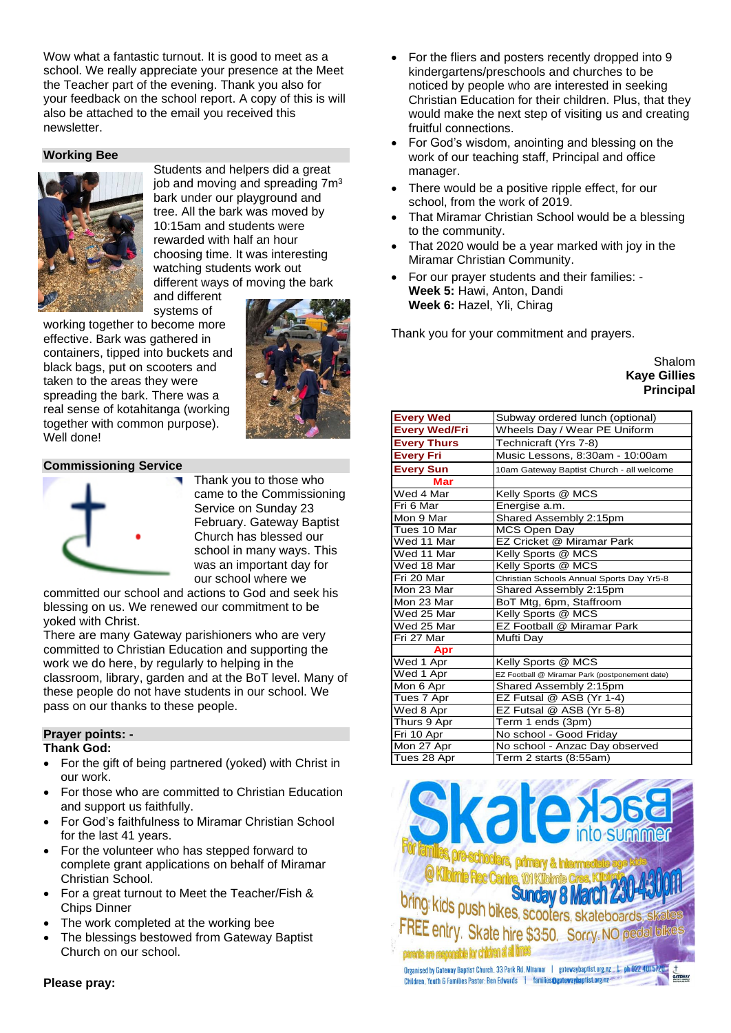Wow what a fantastic turnout. It is good to meet as a school. We really appreciate your presence at the Meet the Teacher part of the evening. Thank you also for your feedback on the school report. A copy of this is will also be attached to the email you received this newsletter.

# **Working Bee**



Students and helpers did a great job and moving and spreading 7m<sup>3</sup> bark under our playground and tree. All the bark was moved by 10:15am and students were rewarded with half an hour choosing time. It was interesting watching students work out different ways of moving the bark and different

systems of

working together to become more effective. Bark was gathered in containers, tipped into buckets and black bags, put on scooters and taken to the areas they were spreading the bark. There was a real sense of kotahitanga (working together with common purpose). Well done!



# **Commissioning Service**



Thank you to those who came to the Commissioning Service on Sunday 23 February. Gateway Baptist Church has blessed our school in many ways. This was an important day for our school where we

committed our school and actions to God and seek his blessing on us. We renewed our commitment to be yoked with Christ.

There are many Gateway parishioners who are very committed to Christian Education and supporting the work we do here, by regularly to helping in the classroom, library, garden and at the BoT level. Many of these people do not have students in our school. We pass on our thanks to these people.

#### **Prayer points: - Thank God:**

- For the gift of being partnered (yoked) with Christ in our work.
- For those who are committed to Christian Education and support us faithfully.
- For God's faithfulness to Miramar Christian School for the last 41 years.
- For the volunteer who has stepped forward to complete grant applications on behalf of Miramar Christian School.
- For a great turnout to Meet the Teacher/Fish & Chips Dinner
- The work completed at the working bee
- The blessings bestowed from Gateway Baptist Church on our school.

#### **Please pray:**

- For the fliers and posters recently dropped into 9 kindergartens/preschools and churches to be noticed by people who are interested in seeking Christian Education for their children. Plus, that they would make the next step of visiting us and creating fruitful connections.
- For God's wisdom, anointing and blessing on the work of our teaching staff, Principal and office manager.
- There would be a positive ripple effect, for our school, from the work of 2019.
- That Miramar Christian School would be a blessing to the community.
- That 2020 would be a year marked with joy in the Miramar Christian Community.
- For our prayer students and their families: **Week 5:** Hawi, Anton, Dandi **Week 6:** Hazel, Yli, Chirag

Thank you for your commitment and prayers.

#### Shalom **Kaye Gillies Principal**

| <b>Every Wed</b>     | Subway ordered lunch (optional)                |
|----------------------|------------------------------------------------|
| <b>Every Wed/Fri</b> | Wheels Day / Wear PE Uniform                   |
| <b>Every Thurs</b>   | Technicraft (Yrs 7-8)                          |
| <b>Every Fri</b>     | Music Lessons, 8:30am - 10:00am                |
| <b>Every Sun</b>     | 10am Gateway Baptist Church - all welcome      |
| Mar                  |                                                |
| Wed 4 Mar            | Kelly Sports @ MCS                             |
| Fri 6 Mar            | Energise a.m.                                  |
| Mon 9 Mar            | Shared Assembly 2:15pm                         |
| Tues 10 Mar          | MCS Open Day                                   |
| Wed 11 Mar           | EZ Cricket @ Miramar Park                      |
| Wed 11 Mar           | Kelly Sports @ MCS                             |
| Wed 18 Mar           | Kelly Sports @ MCS                             |
| Fri 20 Mar           | Christian Schools Annual Sports Day Yr5-8      |
| Mon 23 Mar           | Shared Assembly 2:15pm                         |
| Mon 23 Mar           | BoT Mtg, 6pm, Staffroom                        |
| Wed 25 Mar           | Kelly Sports @ MCS                             |
| Wed 25 Mar           | EZ Football @ Miramar Park                     |
| Fri 27 Mar           | Mufti Day                                      |
| Apr                  |                                                |
| Wed 1 Apr            | Kelly Sports @ MCS                             |
| Wed 1 Apr            | EZ Football @ Miramar Park (postponement date) |
| Mon 6 Apr            | Shared Assembly 2:15pm                         |
| Tues 7 Apr           | EZ Futsal @ ASB (Yr 1-4)                       |
| Wed 8 Apr            | EZ Futsal @ ASB (Yr 5-8)                       |
| Thurs 9 Apr          | Term 1 ends (3pm)                              |
| Fri 10 Apr           | No school - Good Friday                        |
| Mon 27 Apr           | No school - Anzac Day observed                 |
| Tues 28 Apr          | Term 2 starts (8:55am)                         |